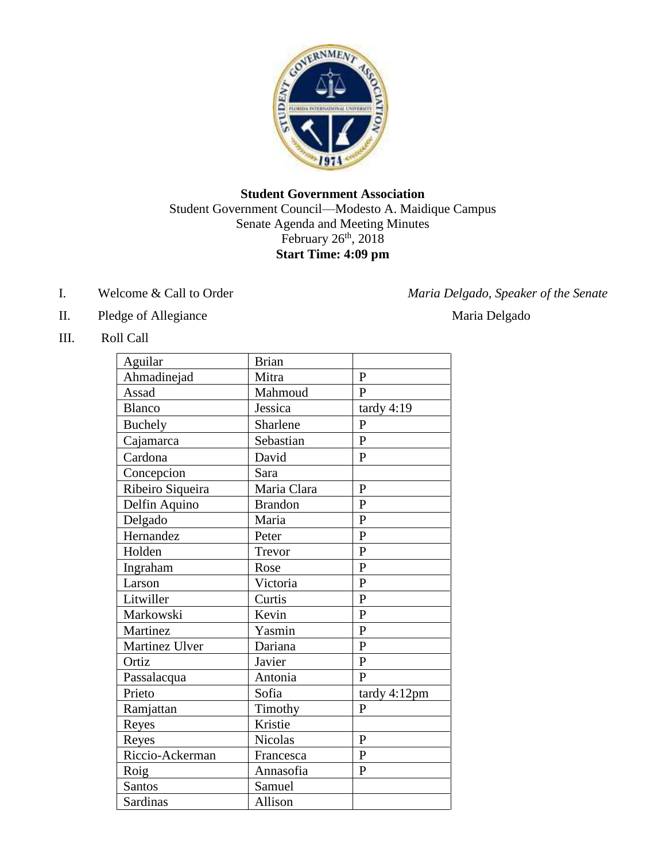

## **Student Government Association** Student Government Council—Modesto A. Maidique Campus Senate Agenda and Meeting Minutes February  $26<sup>th</sup>$ ,  $2018$ **Start Time: 4:09 pm**

- 
- II. Pledge of Allegiance Maria Delgado
- III. Roll Call

| Aguilar          | <b>Brian</b>   |                |
|------------------|----------------|----------------|
| Ahmadinejad      | Mitra          | $\mathbf{P}$   |
| Assad            | Mahmoud        | $\overline{P}$ |
| <b>Blanco</b>    | Jessica        | tardy $4:19$   |
| <b>Buchely</b>   | Sharlene       | $\mathbf{P}$   |
| Cajamarca        | Sebastian      | $\mathbf{P}$   |
| Cardona          | David          | $\mathbf{P}$   |
| Concepcion       | Sara           |                |
| Ribeiro Siqueira | Maria Clara    | $\mathbf{P}$   |
| Delfin Aquino    | <b>Brandon</b> | $\mathbf{P}$   |
| Delgado          | Maria          | $\overline{P}$ |
| Hernandez        | Peter          | $\mathbf{P}$   |
| Holden           | Trevor         | $\overline{P}$ |
| Ingraham         | Rose           | $\mathbf{P}$   |
| Larson           | Victoria       | $\mathbf{P}$   |
| Litwiller        | Curtis         | $\overline{P}$ |
| Markowski        | Kevin          | $\overline{P}$ |
| Martinez         | Yasmin         | $\overline{P}$ |
| Martinez Ulver   | Dariana        | $\mathbf{P}$   |
| Ortiz            | Javier         | $\overline{P}$ |
| Passalacqua      | Antonia        | $\mathbf{P}$   |
| Prieto           | Sofia          | tardy 4:12pm   |
| Ramjattan        | Timothy        | $\mathbf{P}$   |
| Reyes            | Kristie        |                |
| Reyes            | Nicolas        | $\overline{P}$ |
| Riccio-Ackerman  | Francesca      | $\overline{P}$ |
| Roig             | Annasofia      | $\mathbf{P}$   |
| <b>Santos</b>    | Samuel         |                |
| Sardinas         | Allison        |                |

# I. Welcome & Call to Order *Maria Delgado, Speaker of the Senate*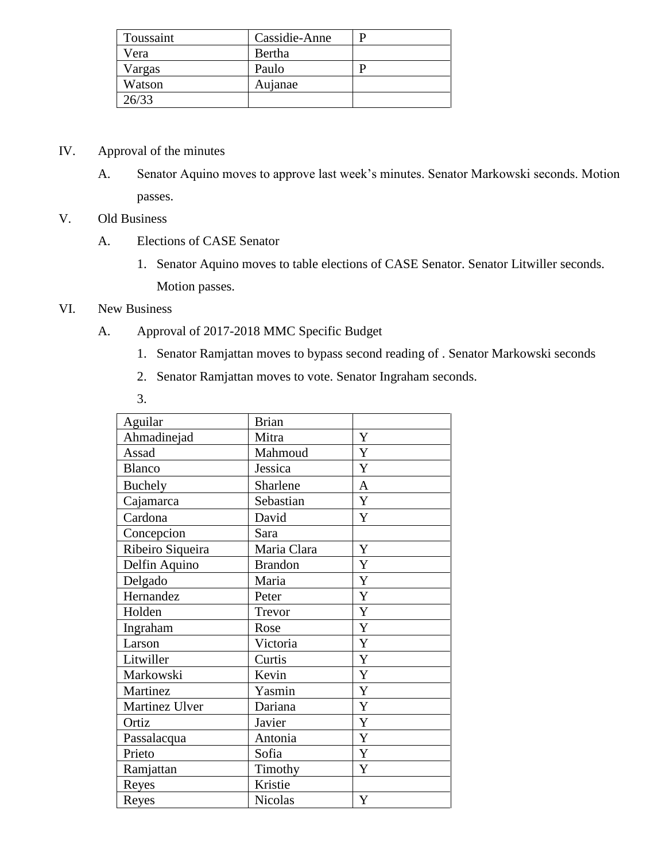| Toussaint | Cassidie-Anne |  |
|-----------|---------------|--|
| Vera      | Bertha        |  |
| Vargas    | Paulo         |  |
| Watson    | Aujanae       |  |
| 26/33     |               |  |

- IV. Approval of the minutes
	- A. Senator Aquino moves to approve last week's minutes. Senator Markowski seconds. Motion passes.
- V. Old Business
	- A. Elections of CASE Senator
		- 1. Senator Aquino moves to table elections of CASE Senator. Senator Litwiller seconds. Motion passes.
- VI. New Business
	- A. Approval of 2017-2018 MMC Specific Budget
		- 1. Senator Ramjattan moves to bypass second reading of . Senator Markowski seconds
		- 2. Senator Ramjattan moves to vote. Senator Ingraham seconds.
		- 3.

| Aguilar          | <b>Brian</b>   |                |
|------------------|----------------|----------------|
| Ahmadinejad      | Mitra          | Y              |
| Assad            | Mahmoud        | Y              |
| <b>Blanco</b>    | Jessica        | Y              |
| <b>Buchely</b>   | Sharlene       | $\overline{A}$ |
| Cajamarca        | Sebastian      | Y              |
| Cardona          | David          | Y              |
| Concepcion       | Sara           |                |
| Ribeiro Siqueira | Maria Clara    | Y              |
| Delfin Aquino    | <b>Brandon</b> | Y              |
| Delgado          | Maria          | Y              |
| Hernandez        | Peter          | Y              |
| Holden           | Trevor         | Y              |
| Ingraham         | Rose           | Y              |
| Larson           | Victoria       | Y              |
| Litwiller        | Curtis         | $\mathbf Y$    |
| Markowski        | Kevin          | Y              |
| Martinez         | Yasmin         | Y              |
| Martinez Ulver   | Dariana        | Y              |
| Ortiz            | Javier         | Y              |
| Passalacqua      | Antonia        | Y              |
| Prieto           | Sofia          | Y              |
| Ramjattan        | Timothy        | Y              |
| Reyes            | Kristie        |                |
| Reyes            | Nicolas        | Y              |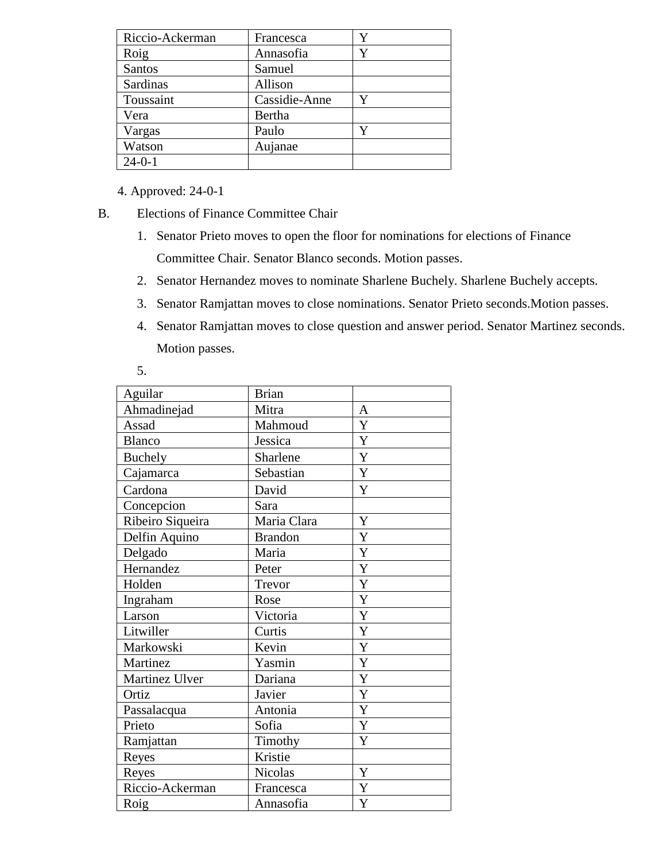| Riccio-Ackerman | Francesca     | Y |
|-----------------|---------------|---|
| Roig            | Annasofia     | Y |
| Santos          | Samuel        |   |
| Sardinas        | Allison       |   |
| Toussaint       | Cassidie-Anne |   |
| Vera            | Bertha        |   |
| Vargas          | Paulo         | Y |
| Watson          | Aujanae       |   |
| $24 - 0 - 1$    |               |   |

4. Approved: 24-0-1

B. Elections of Finance Committee Chair

- 1. Senator Prieto moves to open the floor for nominations for elections of Finance Committee Chair. Senator Blanco seconds. Motion passes.
- 2. Senator Hernandez moves to nominate Sharlene Buchely. Sharlene Buchely accepts.
- 3. Senator Ramjattan moves to close nominations. Senator Prieto seconds.Motion passes.
- 4. Senator Ramjattan moves to close question and answer period. Senator Martinez seconds. Motion passes.
- 5.

| Aguilar          | <b>Brian</b>   |              |
|------------------|----------------|--------------|
| Ahmadinejad      | Mitra          | $\mathbf{A}$ |
| Assad            | Mahmoud        | Y            |
| <b>Blanco</b>    | Jessica        | Y            |
| <b>Buchely</b>   | Sharlene       | Y            |
| Cajamarca        | Sebastian      | $\mathbf Y$  |
| Cardona          | David          | Y            |
| Concepcion       | Sara           |              |
| Ribeiro Siqueira | Maria Clara    | Y            |
| Delfin Aquino    | <b>Brandon</b> | Y            |
| Delgado          | Maria          | Y            |
| Hernandez        | Peter          | Y            |
| Holden           | Trevor         | Y            |
| Ingraham         | Rose           | $\mathbf Y$  |
| Larson           | Victoria       | Y            |
| Litwiller        | Curtis         | Y            |
| Markowski        | Kevin          | Y            |
| Martinez         | Yasmin         | Y            |
| Martinez Ulver   | Dariana        | Y            |
| Ortiz            | Javier         | Y            |
| Passalacqua      | Antonia        | Y            |
| Prieto           | Sofia          | Y            |
| Ramjattan        | Timothy        | Y            |
| Reyes            | Kristie        |              |
| Reyes            | Nicolas        | $\mathbf Y$  |
| Riccio-Ackerman  | Francesca      | Y            |
| Roig             | Annasofia      | Y            |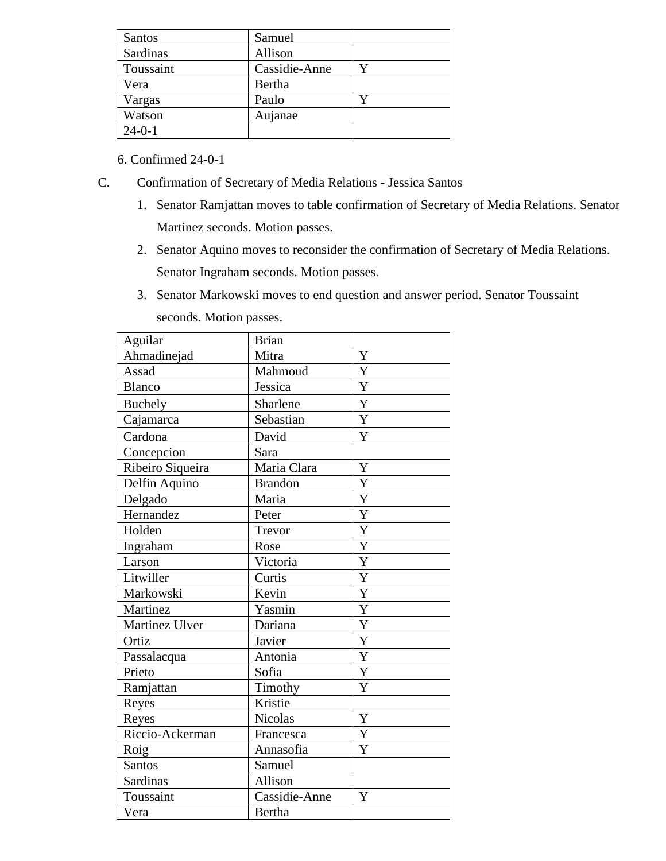| Santos       | Samuel        |  |
|--------------|---------------|--|
| Sardinas     | Allison       |  |
| Toussaint    | Cassidie-Anne |  |
| Vera         | Bertha        |  |
| Vargas       | Paulo         |  |
| Watson       | Aujanae       |  |
| $24 - 0 - 1$ |               |  |

6. Confirmed 24-0-1

- C. Confirmation of Secretary of Media Relations Jessica Santos
	- 1. Senator Ramjattan moves to table confirmation of Secretary of Media Relations. Senator Martinez seconds. Motion passes.
	- 2. Senator Aquino moves to reconsider the confirmation of Secretary of Media Relations. Senator Ingraham seconds. Motion passes.
	- 3. Senator Markowski moves to end question and answer period. Senator Toussaint seconds. Motion passes.

| Aguilar          | <b>Brian</b>   |   |
|------------------|----------------|---|
| Ahmadinejad      | Mitra          | Y |
| Assad            | Mahmoud        | Y |
| <b>Blanco</b>    | Jessica        | Y |
| Buchely          | Sharlene       | Y |
| Cajamarca        | Sebastian      | Y |
| Cardona          | David          | Y |
| Concepcion       | Sara           |   |
| Ribeiro Siqueira | Maria Clara    | Y |
| Delfin Aquino    | <b>Brandon</b> | Y |
| Delgado          | Maria          | Y |
| Hernandez        | Peter          | Y |
| Holden           | Trevor         | Y |
| Ingraham         | Rose           | Y |
| Larson           | Victoria       | Y |
| Litwiller        | Curtis         | Y |
| Markowski        | Kevin          | Y |
| Martinez         | Yasmin         | Y |
| Martinez Ulver   | Dariana        | Y |
| Ortiz            | Javier         | Y |
| Passalacqua      | Antonia        | Y |
| Prieto           | Sofia          | Y |
| Ramjattan        | Timothy        | Y |
| Reyes            | Kristie        |   |
| Reyes            | <b>Nicolas</b> | Y |
| Riccio-Ackerman  | Francesca      | Y |
| Roig             | Annasofia      | Y |
| Santos           | Samuel         |   |
| Sardinas         | Allison        |   |
| Toussaint        | Cassidie-Anne  | Y |
| Vera             | Bertha         |   |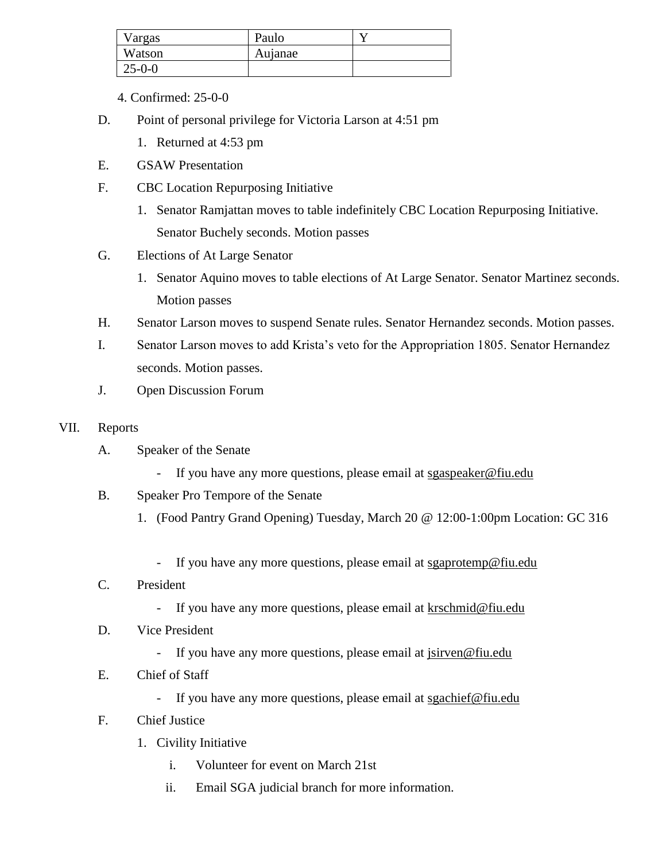| Vargas       | Paulo   |  |
|--------------|---------|--|
| Watson       | Aujanae |  |
| $25 - 0 - 0$ |         |  |

- 4. Confirmed: 25-0-0
- D. Point of personal privilege for Victoria Larson at 4:51 pm
	- 1. Returned at 4:53 pm
- E. GSAW Presentation
- F. CBC Location Repurposing Initiative
	- 1. Senator Ramjattan moves to table indefinitely CBC Location Repurposing Initiative. Senator Buchely seconds. Motion passes
- G. Elections of At Large Senator
	- 1. Senator Aquino moves to table elections of At Large Senator. Senator Martinez seconds. Motion passes
- H. Senator Larson moves to suspend Senate rules. Senator Hernandez seconds. Motion passes.
- I. Senator Larson moves to add Krista's veto for the Appropriation 1805. Senator Hernandez seconds. Motion passes.
- J. Open Discussion Forum
- VII. Reports
	- A. Speaker of the Senate
		- If you have any more questions, please email at sgaspeaker@fiu.edu
	- B. Speaker Pro Tempore of the Senate
		- 1. (Food Pantry Grand Opening) Tuesday, March 20 @ 12:00-1:00pm Location: GC 316
			- If you have any more questions, please email at sgaprotemp@fiu.edu

### C. President

- If you have any more questions, please email at krschmid@fiu.edu
- D. Vice President
	- If you have any more questions, please email at jsirven@fiu.edu
- E. Chief of Staff
	- If you have any more questions, please email at sgachief@fiu.edu
- F. Chief Justice
	- 1. Civility Initiative
		- i. Volunteer for event on March 21st
		- ii. Email SGA judicial branch for more information.